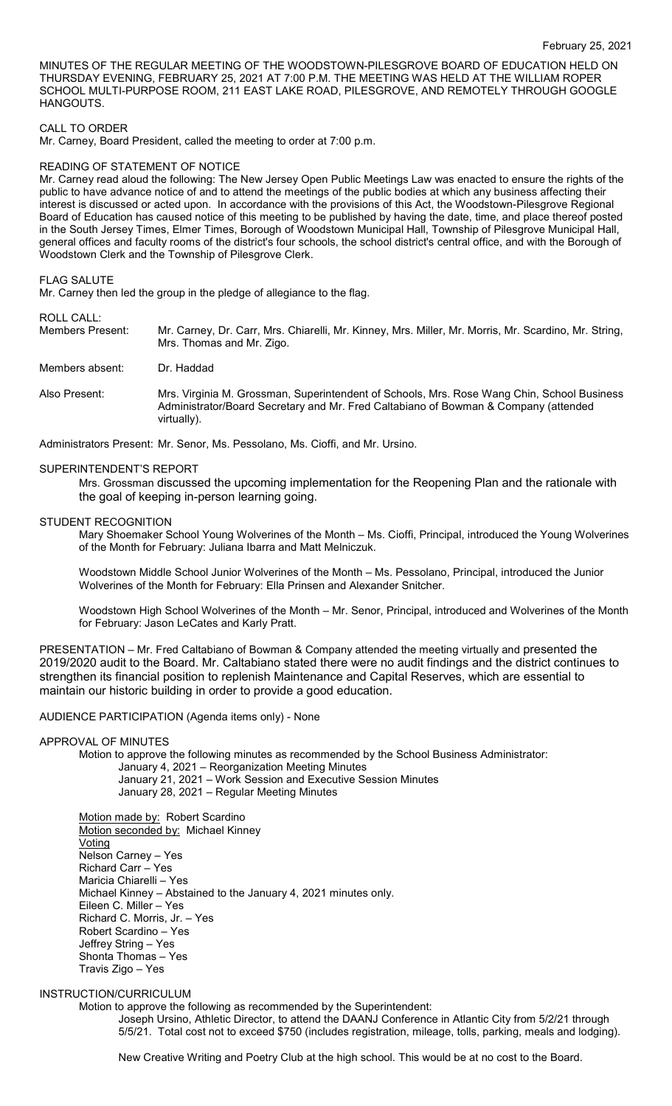MINUTES OF THE REGULAR MEETING OF THE WOODSTOWN-PILESGROVE BOARD OF EDUCATION HELD ON THURSDAY EVENING, FEBRUARY 25, 2021 AT 7:00 P.M. THE MEETING WAS HELD AT THE WILLIAM ROPER SCHOOL MULTI-PURPOSE ROOM, 211 EAST LAKE ROAD, PILESGROVE, AND REMOTELY THROUGH GOOGLE HANGOUTS.

### CALL TO ORDER

Mr. Carney, Board President, called the meeting to order at 7:00 p.m.

### READING OF STATEMENT OF NOTICE

Mr. Carney read aloud the following: The New Jersey Open Public Meetings Law was enacted to ensure the rights of the public to have advance notice of and to attend the meetings of the public bodies at which any business affecting their interest is discussed or acted upon. In accordance with the provisions of this Act, the Woodstown-Pilesgrove Regional Board of Education has caused notice of this meeting to be published by having the date, time, and place thereof posted in the South Jersey Times, Elmer Times, Borough of Woodstown Municipal Hall, Township of Pilesgrove Municipal Hall, general offices and faculty rooms of the district's four schools, the school district's central office, and with the Borough of Woodstown Clerk and the Township of Pilesgrove Clerk.

#### FLAG SALUTE

Mr. Carney then led the group in the pledge of allegiance to the flag.

### ROLL CALL:

Members Present: Mr. Carney, Dr. Carr, Mrs. Chiarelli, Mr. Kinney, Mrs. Miller, Mr. Morris, Mr. Scardino, Mr. String, Mrs. Thomas and Mr. Zigo.

Members absent: Dr. Haddad

Also Present: Mrs. Virginia M. Grossman, Superintendent of Schools, Mrs. Rose Wang Chin, School Business Administrator/Board Secretary and Mr. Fred Caltabiano of Bowman & Company (attended virtually).

Administrators Present: Mr. Senor, Ms. Pessolano, Ms. Cioffi, and Mr. Ursino.

### SUPERINTENDENT'S REPORT

Mrs. Grossman discussed the upcoming implementation for the Reopening Plan and the rationale with the goal of keeping in-person learning going.

#### STUDENT RECOGNITION

Mary Shoemaker School Young Wolverines of the Month – Ms. Cioffi, Principal, introduced the Young Wolverines of the Month for February: Juliana Ibarra and Matt Melniczuk.

Woodstown Middle School Junior Wolverines of the Month – Ms. Pessolano, Principal, introduced the Junior Wolverines of the Month for February: Ella Prinsen and Alexander Snitcher.

Woodstown High School Wolverines of the Month – Mr. Senor, Principal, introduced and Wolverines of the Month for February: Jason LeCates and Karly Pratt.

PRESENTATION – Mr. Fred Caltabiano of Bowman & Company attended the meeting virtually and presented the 2019/2020 audit to the Board. Mr. Caltabiano stated there were no audit findings and the district continues to strengthen its financial position to replenish Maintenance and Capital Reserves, which are essential to maintain our historic building in order to provide a good education.

### AUDIENCE PARTICIPATION (Agenda items only) - None

# APPROVAL OF MINUTES

Motion to approve the following minutes as recommended by the School Business Administrator: January 4, 2021 – Reorganization Meeting Minutes January 21, 2021 – Work Session and Executive Session Minutes

January 28, 2021 – Regular Meeting Minutes

Motion made by: Robert Scardino Motion seconded by: Michael Kinney Voting Nelson Carney – Yes Richard Carr – Yes Maricia Chiarelli – Yes Michael Kinney – Abstained to the January 4, 2021 minutes only. Eileen C. Miller – Yes Richard C. Morris, Jr. – Yes Robert Scardino – Yes Jeffrey String – Yes Shonta Thomas – Yes Travis Zigo – Yes

### INSTRUCTION/CURRICULUM

Motion to approve the following as recommended by the Superintendent:

Joseph Ursino, Athletic Director, to attend the DAANJ Conference in Atlantic City from 5/2/21 through 5/5/21. Total cost not to exceed \$750 (includes registration, mileage, tolls, parking, meals and lodging).

New Creative Writing and Poetry Club at the high school. This would be at no cost to the Board.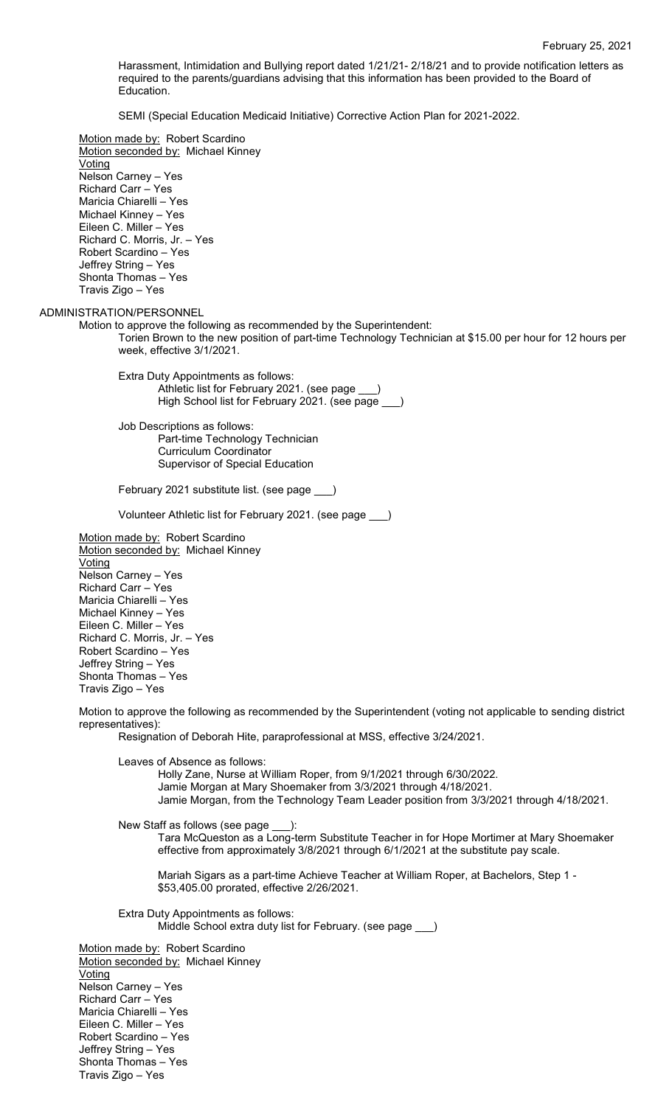Harassment, Intimidation and Bullying report dated 1/21/21- 2/18/21 and to provide notification letters as required to the parents/guardians advising that this information has been provided to the Board of Education.

SEMI (Special Education Medicaid Initiative) Corrective Action Plan for 2021-2022.

Motion made by: Robert Scardino Motion seconded by: Michael Kinney **Voting** Nelson Carney – Yes Richard Carr – Yes Maricia Chiarelli – Yes Michael Kinney – Yes Eileen C. Miller – Yes Richard C. Morris, Jr. – Yes Robert Scardino – Yes Jeffrey String – Yes Shonta Thomas – Yes Travis Zigo – Yes ADMINISTRATION/PERSONNEL Motion to approve the following as recommended by the Superintendent: Torien Brown to the new position of part-time Technology Technician at \$15.00 per hour for 12 hours per week, effective 3/1/2021. Extra Duty Appointments as follows: Athletic list for February 2021. (see page High School list for February 2021. (see page Job Descriptions as follows: Part-time Technology Technician Curriculum Coordinator Supervisor of Special Education February 2021 substitute list. (see page \_\_\_) Volunteer Athletic list for February 2021. (see page Motion made by: Robert Scardino Motion seconded by: Michael Kinney **Voting** Nelson Carney – Yes Richard Carr – Yes Maricia Chiarelli – Yes Michael Kinney – Yes Eileen C. Miller – Yes Richard C. Morris, Jr. – Yes Robert Scardino – Yes Jeffrey String – Yes Shonta Thomas – Yes Travis Zigo – Yes Motion to approve the following as recommended by the Superintendent (voting not applicable to sending district representatives): Resignation of Deborah Hite, paraprofessional at MSS, effective 3/24/2021. Leaves of Absence as follows: Holly Zane, Nurse at William Roper, from 9/1/2021 through 6/30/2022. Jamie Morgan at Mary Shoemaker from 3/3/2021 through 4/18/2021. Jamie Morgan, from the Technology Team Leader position from 3/3/2021 through 4/18/2021. New Staff as follows (see page \_\_\_): Tara McQueston as a Long-term Substitute Teacher in for Hope Mortimer at Mary Shoemaker effective from approximately 3/8/2021 through 6/1/2021 at the substitute pay scale. Mariah Sigars as a part-time Achieve Teacher at William Roper, at Bachelors, Step 1 - \$53,405.00 prorated, effective 2/26/2021. Extra Duty Appointments as follows: Middle School extra duty list for February. (see page \_\_\_) Motion made by: Robert Scardino Motion seconded by: Michael Kinney **Voting** Nelson Carney – Yes Richard Carr – Yes Maricia Chiarelli – Yes Eileen C. Miller – Yes Robert Scardino – Yes Jeffrey String – Yes

Shonta Thomas – Yes Travis Zigo – Yes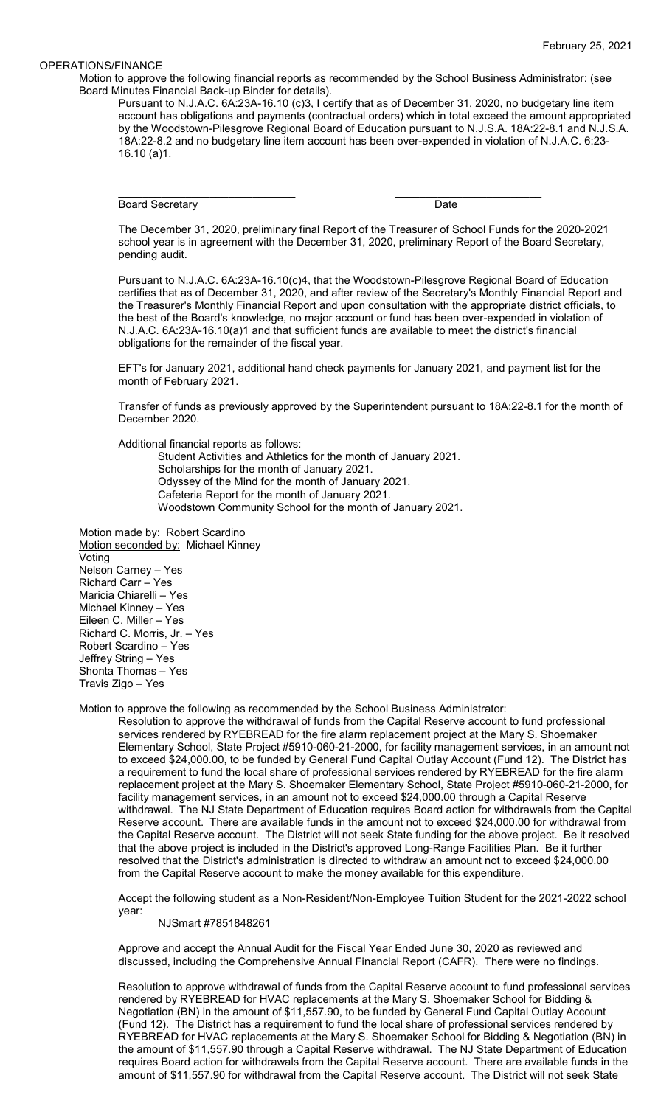### OPERATIONS/FINANCE

Motion to approve the following financial reports as recommended by the School Business Administrator: (see Board Minutes Financial Back-up Binder for details).

Pursuant to N.J.A.C. 6A:23A-16.10 (c)3, I certify that as of December 31, 2020, no budgetary line item account has obligations and payments (contractual orders) which in total exceed the amount appropriated by the Woodstown-Pilesgrove Regional Board of Education pursuant to N.J.S.A. 18A:22-8.1 and N.J.S.A. 18A:22-8.2 and no budgetary line item account has been over-expended in violation of N.J.A.C. 6:23- 16.10 (a)1.

Board Secretary Date

\_\_\_\_\_\_\_\_\_\_\_\_\_\_\_\_\_\_\_\_\_\_\_\_\_\_\_\_\_ \_\_\_\_\_\_\_\_\_\_\_\_\_\_\_\_\_\_\_\_\_\_\_\_

The December 31, 2020, preliminary final Report of the Treasurer of School Funds for the 2020-2021 school year is in agreement with the December 31, 2020, preliminary Report of the Board Secretary, pending audit.

Pursuant to N.J.A.C. 6A:23A-16.10(c)4, that the Woodstown-Pilesgrove Regional Board of Education certifies that as of December 31, 2020, and after review of the Secretary's Monthly Financial Report and the Treasurer's Monthly Financial Report and upon consultation with the appropriate district officials, to the best of the Board's knowledge, no major account or fund has been over-expended in violation of N.J.A.C. 6A:23A-16.10(a)1 and that sufficient funds are available to meet the district's financial obligations for the remainder of the fiscal year.

EFT's for January 2021, additional hand check payments for January 2021, and payment list for the month of February 2021.

Transfer of funds as previously approved by the Superintendent pursuant to 18A:22-8.1 for the month of December 2020.

Additional financial reports as follows:

Student Activities and Athletics for the month of January 2021.

Scholarships for the month of January 2021.

Odyssey of the Mind for the month of January 2021.

- Cafeteria Report for the month of January 2021.
- Woodstown Community School for the month of January 2021.

Motion made by: Robert Scardino Motion seconded by: Michael Kinney Voting Nelson Carney – Yes Richard Carr – Yes Maricia Chiarelli – Yes Michael Kinney – Yes Eileen C. Miller – Yes Richard C. Morris, Jr. – Yes Robert Scardino – Yes Jeffrey String – Yes Shonta Thomas – Yes Travis Zigo – Yes

Motion to approve the following as recommended by the School Business Administrator:

Resolution to approve the withdrawal of funds from the Capital Reserve account to fund professional services rendered by RYEBREAD for the fire alarm replacement project at the Mary S. Shoemaker Elementary School, State Project #5910-060-21-2000, for facility management services, in an amount not to exceed \$24,000.00, to be funded by General Fund Capital Outlay Account (Fund 12). The District has a requirement to fund the local share of professional services rendered by RYEBREAD for the fire alarm replacement project at the Mary S. Shoemaker Elementary School, State Project #5910-060-21-2000, for facility management services, in an amount not to exceed \$24,000.00 through a Capital Reserve withdrawal. The NJ State Department of Education requires Board action for withdrawals from the Capital Reserve account. There are available funds in the amount not to exceed \$24,000.00 for withdrawal from the Capital Reserve account. The District will not seek State funding for the above project. Be it resolved that the above project is included in the District's approved Long-Range Facilities Plan. Be it further resolved that the District's administration is directed to withdraw an amount not to exceed \$24,000.00 from the Capital Reserve account to make the money available for this expenditure.

Accept the following student as a Non-Resident/Non-Employee Tuition Student for the 2021-2022 school year:

NJSmart #7851848261

Approve and accept the Annual Audit for the Fiscal Year Ended June 30, 2020 as reviewed and discussed, including the Comprehensive Annual Financial Report (CAFR). There were no findings.

Resolution to approve withdrawal of funds from the Capital Reserve account to fund professional services rendered by RYEBREAD for HVAC replacements at the Mary S. Shoemaker School for Bidding & Negotiation (BN) in the amount of \$11,557.90, to be funded by General Fund Capital Outlay Account (Fund 12). The District has a requirement to fund the local share of professional services rendered by RYEBREAD for HVAC replacements at the Mary S. Shoemaker School for Bidding & Negotiation (BN) in the amount of \$11,557.90 through a Capital Reserve withdrawal. The NJ State Department of Education requires Board action for withdrawals from the Capital Reserve account. There are available funds in the amount of \$11,557.90 for withdrawal from the Capital Reserve account. The District will not seek State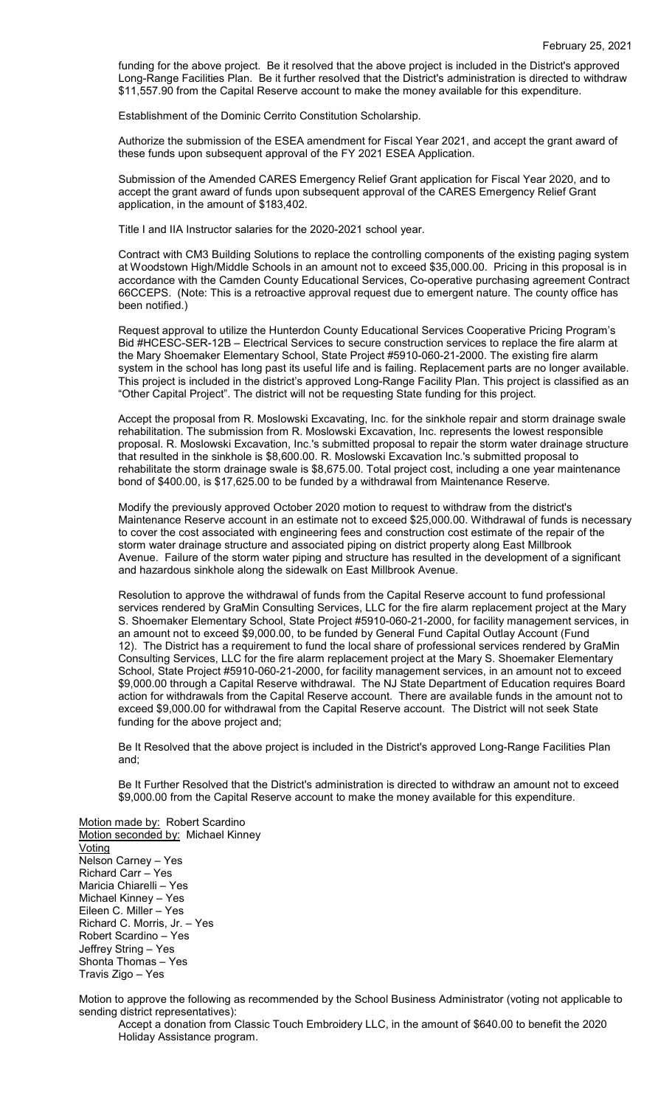funding for the above project. Be it resolved that the above project is included in the District's approved Long-Range Facilities Plan. Be it further resolved that the District's administration is directed to withdraw \$11,557.90 from the Capital Reserve account to make the money available for this expenditure.

Establishment of the Dominic Cerrito Constitution Scholarship.

Authorize the submission of the ESEA amendment for Fiscal Year 2021, and accept the grant award of these funds upon subsequent approval of the FY 2021 ESEA Application.

Submission of the Amended CARES Emergency Relief Grant application for Fiscal Year 2020, and to accept the grant award of funds upon subsequent approval of the CARES Emergency Relief Grant application, in the amount of \$183,402.

Title I and IIA Instructor salaries for the 2020-2021 school year.

Contract with CM3 Building Solutions to replace the controlling components of the existing paging system at Woodstown High/Middle Schools in an amount not to exceed \$35,000.00. Pricing in this proposal is in accordance with the Camden County Educational Services, Co-operative purchasing agreement Contract 66CCEPS. (Note: This is a retroactive approval request due to emergent nature. The county office has been notified.)

Request approval to utilize the Hunterdon County Educational Services Cooperative Pricing Program's Bid #HCESC-SER-12B – Electrical Services to secure construction services to replace the fire alarm at the Mary Shoemaker Elementary School, State Project #5910-060-21-2000. The existing fire alarm system in the school has long past its useful life and is failing. Replacement parts are no longer available. This project is included in the district's approved Long-Range Facility Plan. This project is classified as an "Other Capital Project". The district will not be requesting State funding for this project.

Accept the proposal from R. Moslowski Excavating, Inc. for the sinkhole repair and storm drainage swale rehabilitation. The submission from R. Moslowski Excavation, Inc. represents the lowest responsible proposal. R. Moslowski Excavation, Inc.'s submitted proposal to repair the storm water drainage structure that resulted in the sinkhole is \$8,600.00. R. Moslowski Excavation Inc.'s submitted proposal to rehabilitate the storm drainage swale is \$8,675.00. Total project cost, including a one year maintenance bond of \$400.00, is \$17,625.00 to be funded by a withdrawal from Maintenance Reserve.

Modify the previously approved October 2020 motion to request to withdraw from the district's Maintenance Reserve account in an estimate not to exceed \$25,000.00. Withdrawal of funds is necessary to cover the cost associated with engineering fees and construction cost estimate of the repair of the storm water drainage structure and associated piping on district property along East Millbrook Avenue. Failure of the storm water piping and structure has resulted in the development of a significant and hazardous sinkhole along the sidewalk on East Millbrook Avenue.

Resolution to approve the withdrawal of funds from the Capital Reserve account to fund professional services rendered by GraMin Consulting Services, LLC for the fire alarm replacement project at the Mary S. Shoemaker Elementary School, State Project #5910-060-21-2000, for facility management services, in an amount not to exceed \$9,000.00, to be funded by General Fund Capital Outlay Account (Fund 12). The District has a requirement to fund the local share of professional services rendered by GraMin Consulting Services, LLC for the fire alarm replacement project at the Mary S. Shoemaker Elementary School, State Project #5910-060-21-2000, for facility management services, in an amount not to exceed \$9,000.00 through a Capital Reserve withdrawal. The NJ State Department of Education requires Board action for withdrawals from the Capital Reserve account. There are available funds in the amount not to exceed \$9,000.00 for withdrawal from the Capital Reserve account. The District will not seek State funding for the above project and;

Be It Resolved that the above project is included in the District's approved Long-Range Facilities Plan and;

Be It Further Resolved that the District's administration is directed to withdraw an amount not to exceed \$9,000.00 from the Capital Reserve account to make the money available for this expenditure.

Motion made by: Robert Scardino Motion seconded by: Michael Kinney **Voting** Nelson Carney – Yes Richard Carr – Yes Maricia Chiarelli – Yes Michael Kinney – Yes Eileen C. Miller – Yes Richard C. Morris, Jr. – Yes Robert Scardino – Yes Jeffrey String – Yes Shonta Thomas – Yes Travis Zigo – Yes

Motion to approve the following as recommended by the School Business Administrator (voting not applicable to sending district representatives):

Accept a donation from Classic Touch Embroidery LLC, in the amount of \$640.00 to benefit the 2020 Holiday Assistance program.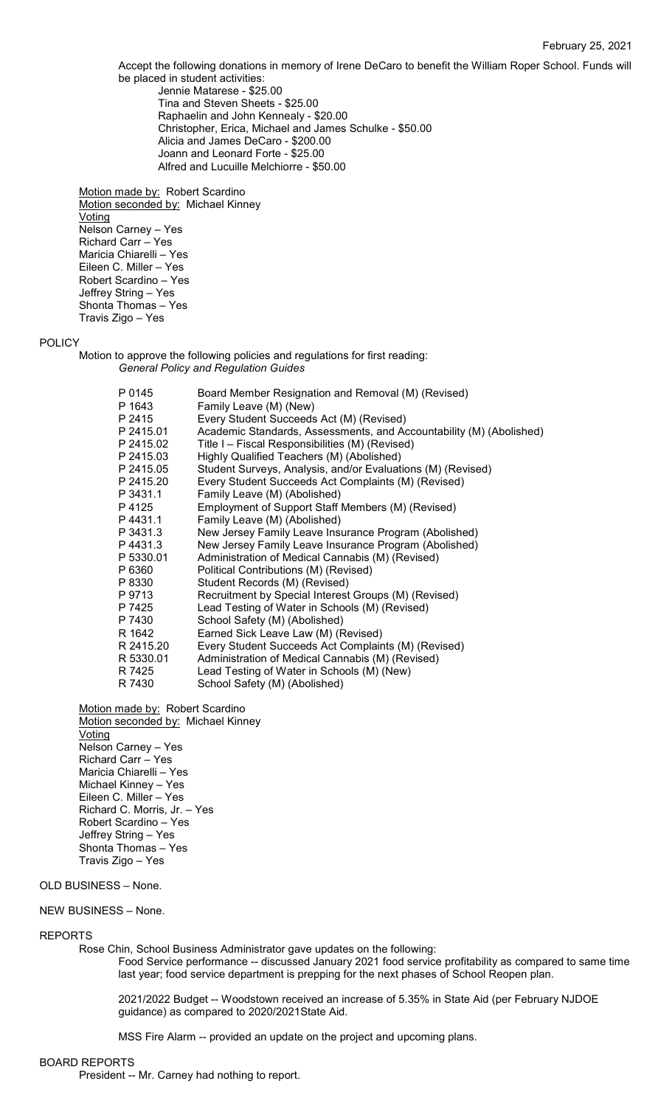Accept the following donations in memory of Irene DeCaro to benefit the William Roper School. Funds will be placed in student activities: Jennie Matarese - \$25.00 Tina and Steven Sheets - \$25.00

Raphaelin and John Kennealy - \$20.00 Christopher, Erica, Michael and James Schulke - \$50.00 Alicia and James DeCaro - \$200.00 Joann and Leonard Forte - \$25.00 Alfred and Lucuille Melchiorre - \$50.00

Motion made by: Robert Scardino Motion seconded by: Michael Kinney **Voting** Nelson Carney – Yes Richard Carr – Yes Maricia Chiarelli – Yes Eileen C. Miller – Yes Robert Scardino – Yes Jeffrey String – Yes Shonta Thomas – Yes Travis Zigo – Yes

## POLICY

Motion to approve the following policies and regulations for first reading: *General Policy and Regulation Guides*

| P 0145<br>P 1643 | Board Member Resignation and Removal (M) (Revised)                  |
|------------------|---------------------------------------------------------------------|
|                  | Family Leave (M) (New)                                              |
| P 2415           | Every Student Succeeds Act (M) (Revised)                            |
| P 2415.01        | Academic Standards, Assessments, and Accountability (M) (Abolished) |
| P 2415.02        | Title I - Fiscal Responsibilities (M) (Revised)                     |
| P 2415.03        | Highly Qualified Teachers (M) (Abolished)                           |
| P 2415.05        | Student Surveys, Analysis, and/or Evaluations (M) (Revised)         |
| P 2415.20        | Every Student Succeeds Act Complaints (M) (Revised)                 |
| P 3431.1         | Family Leave (M) (Abolished)                                        |
| P 4125           | Employment of Support Staff Members (M) (Revised)                   |
| P4431.1          | Family Leave (M) (Abolished)                                        |
| P 3431.3         | New Jersey Family Leave Insurance Program (Abolished)               |
| P4431.3          | New Jersey Family Leave Insurance Program (Abolished)               |
| P 5330.01        | Administration of Medical Cannabis (M) (Revised)                    |
| P 6360           | Political Contributions (M) (Revised)                               |
| P 8330           | Student Records (M) (Revised)                                       |
| P 9713           | Recruitment by Special Interest Groups (M) (Revised)                |
| P 7425           | Lead Testing of Water in Schools (M) (Revised)                      |
| P 7430           | School Safety (M) (Abolished)                                       |
| R 1642           | Earned Sick Leave Law (M) (Revised)                                 |
| R 2415.20        | Every Student Succeeds Act Complaints (M) (Revised)                 |
| R 5330.01        | Administration of Medical Cannabis (M) (Revised)                    |
| R 7425           | Lead Testing of Water in Schools (M) (New)                          |
| R 7430           | School Safety (M) (Abolished)                                       |
|                  |                                                                     |

Motion made by: Robert Scardino Motion seconded by: Michael Kinney Voting Nelson Carney – Yes Richard Carr – Yes Maricia Chiarelli – Yes Michael Kinney – Yes Eileen C. Miller – Yes Richard C. Morris, Jr. – Yes Robert Scardino – Yes Jeffrey String – Yes Shonta Thomas – Yes Travis Zigo – Yes

# OLD BUSINESS – None.

# NEW BUSINESS – None.

### REPORTS

Rose Chin, School Business Administrator gave updates on the following:

Food Service performance -- discussed January 2021 food service profitability as compared to same time last year; food service department is prepping for the next phases of School Reopen plan.

2021/2022 Budget -- Woodstown received an increase of 5.35% in State Aid (per February NJDOE guidance) as compared to 2020/2021State Aid.

MSS Fire Alarm -- provided an update on the project and upcoming plans.

## BOARD REPORTS

President -- Mr. Carney had nothing to report.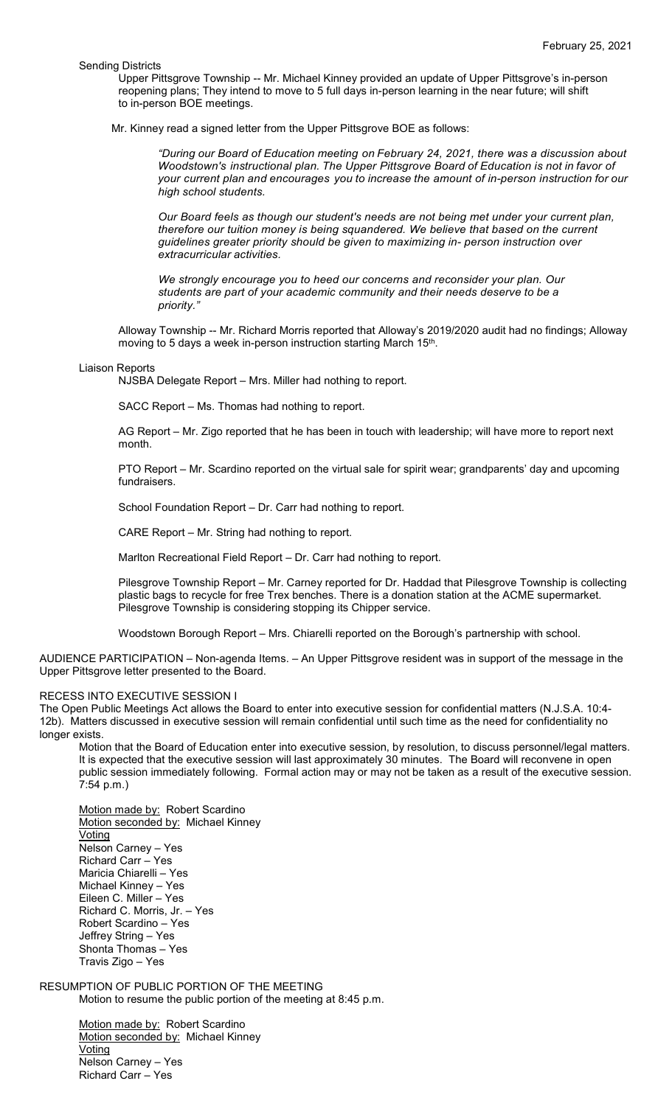Sending Districts

Upper Pittsgrove Township -- Mr. Michael Kinney provided an update of Upper Pittsgrove's in-person reopening plans; They intend to move to 5 full days in-person learning in the near future; will shift to in-person BOE meetings.

Mr. Kinney read a signed letter from the Upper Pittsgrove BOE as follows:

*"During our Board of Education meeting on February 24, 2021, there was a discussion about Woodstown's instructional plan. The Upper Pittsgrove Board of Education is not in favor of your current plan and encourages you to increase the amount of in-person instruction for our high school students.*

*Our Board feels as though our student's needs are not being met under your current plan, therefore our tuition money is being squandered. We believe that based on the current guidelines greater priority should be given to maximizing in- person instruction over extracurricular activities.*

*We strongly encourage you to heed our concerns and reconsider your plan. Our students are part of your academic community and their needs deserve to be a priority."*

Alloway Township -- Mr. Richard Morris reported that Alloway's 2019/2020 audit had no findings; Alloway moving to 5 days a week in-person instruction starting March 15th.

#### Liaison Reports

NJSBA Delegate Report – Mrs. Miller had nothing to report.

SACC Report – Ms. Thomas had nothing to report.

AG Report – Mr. Zigo reported that he has been in touch with leadership; will have more to report next month.

PTO Report – Mr. Scardino reported on the virtual sale for spirit wear; grandparents' day and upcoming fundraisers.

School Foundation Report – Dr. Carr had nothing to report.

CARE Report – Mr. String had nothing to report.

Marlton Recreational Field Report – Dr. Carr had nothing to report.

Pilesgrove Township Report – Mr. Carney reported for Dr. Haddad that Pilesgrove Township is collecting plastic bags to recycle for free Trex benches. There is a donation station at the ACME supermarket. Pilesgrove Township is considering stopping its Chipper service.

Woodstown Borough Report – Mrs. Chiarelli reported on the Borough's partnership with school.

AUDIENCE PARTICIPATION – Non-agenda Items. – An Upper Pittsgrove resident was in support of the message in the Upper Pittsgrove letter presented to the Board.

#### RECESS INTO EXECUTIVE SESSION I

The Open Public Meetings Act allows the Board to enter into executive session for confidential matters (N.J.S.A. 10:4- 12b). Matters discussed in executive session will remain confidential until such time as the need for confidentiality no longer exists.

Motion that the Board of Education enter into executive session, by resolution, to discuss personnel/legal matters. It is expected that the executive session will last approximately 30 minutes. The Board will reconvene in open public session immediately following. Formal action may or may not be taken as a result of the executive session. 7:54 p.m.)

Motion made by: Robert Scardino Motion seconded by: Michael Kinney Voting Nelson Carney – Yes Richard Carr – Yes Maricia Chiarelli – Yes Michael Kinney – Yes Eileen C. Miller – Yes Richard C. Morris, Jr. – Yes Robert Scardino – Yes Jeffrey String – Yes Shonta Thomas – Yes Travis Zigo – Yes

# RESUMPTION OF PUBLIC PORTION OF THE MEETING

Motion to resume the public portion of the meeting at 8:45 p.m.

Motion made by: Robert Scardino Motion seconded by: Michael Kinney Voting Nelson Carney – Yes Richard Carr – Yes